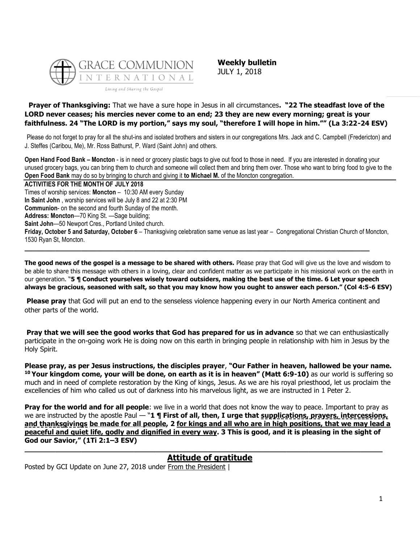

**Weekly bulletin** JULY 1, 2018

### **Prayer of Thanksgiving:** That we have a sure hope in Jesus in all circumstances**. "22 The steadfast love of the LORD never ceases; his mercies never come to an end; 23 they are new every morning; great is your faithfulness. 24 "The LORD is my portion," says my soul, "therefore I will hope in him."" (La 3:22-24 ESV)**

Please do not forget to pray for all the shut-ins and isolated brothers and sisters in our congregations Mrs. Jack and C. Campbell (Fredericton) and J. Steffes (Caribou, Me), Mr. Ross Bathurst, P. Ward (Saint John) and others.

**Open Hand Food Bank – Moncton** - is in need or grocery plastic bags to give out food to those in need. If you are interested in donating your unused grocery bags, you can bring them to church and someone will collect them and bring them over. Those who want to bring food to give to the **Open Food Bank** may do so by bringing to church and giving it **to Michael M.** of the Moncton congregation.

**ACTIVITIES FOR THE MONTH OF JULY 2018** Times of worship services: **Moncton** – 10:30 AM every Sunday **In Saint John** , worship services will be July 8 and 22 at 2:30 PM **Communion**- on the second and fourth Sunday of the month. **Address: Moncton**—70 King St. —Sage building; **Saint John**—50 Newport Cres., Portland United church. **Friday, October 5 and Saturday, October 6** – Thanksgiving celebration same venue as last year – Congregational Christian Church of Moncton, 1530 Ryan St, Moncton. **\_\_\_\_\_\_\_\_\_\_\_\_\_\_\_\_\_\_\_\_\_\_\_\_\_\_\_\_\_\_\_\_\_\_\_\_\_\_\_\_\_\_\_\_\_\_\_\_\_\_\_\_\_\_\_\_\_\_\_\_\_\_\_\_\_\_\_\_\_\_\_\_\_\_\_\_\_\_\_**

**The good news of the gospel is a message to be shared with others.** Please pray that God will give us the love and wisdom to be able to share this message with others in a loving, clear and confident matter as we participate in his missional work on the earth in our generation. "**5 ¶ Conduct yourselves wisely toward outsiders, making the best use of the time. 6 Let your speech always be gracious, seasoned with salt, so that you may know how you ought to answer each person." (Col 4:5-6 ESV)**

**Please pray** that God will put an end to the senseless violence happening every in our North America continent and other parts of the world.

**Pray that we will see the good works that God has prepared for us in advance** so that we can enthusiastically participate in the on-going work He is doing now on this earth in bringing people in relationship with him in Jesus by the Holy Spirit.

**Please pray, as per Jesus instructions, the disciples prayer**, **"Our Father in heaven, hallowed be your name. <sup>10</sup> Your kingdom come, your will be done, on earth as it is in heaven" (Matt 6:9-10)** as our world is suffering so much and in need of complete restoration by the King of kings, Jesus. As we are his royal priesthood, let us proclaim the excellencies of him who called us out of darkness into his marvelous light, as we are instructed in 1 Peter 2.

**Pray for the world and for all people**: we live in a world that does not know the way to peace. Important to pray as we are instructed by the apostle Paul — "**1 ¶ First of all, then, I urge that supplications, prayers, intercessions, and thanksgivings be made for all people, 2 for kings and all who are in high positions, that we may lead a peaceful and quiet life, godly and dignified in every way. 3 This is good, and it is pleasing in the sight of God our Savior," (1Ti 2:1–3 ESV)**

# **[Attitude of gratitude](https://update.gci.org/2018/06/attitude-of-gratitude/)**

**\_\_\_\_\_\_\_\_\_\_\_\_\_\_\_\_\_\_\_\_\_\_\_\_\_\_\_\_\_\_\_\_\_\_\_\_\_\_\_\_\_\_\_\_\_\_\_\_\_\_\_\_\_\_\_\_\_\_\_\_\_\_\_\_\_\_\_\_\_\_\_\_\_\_\_\_\_\_\_\_\_\_**

Posted by GCI Update on June 27, 2018 under [From the President](https://update.gci.org/category/president/) |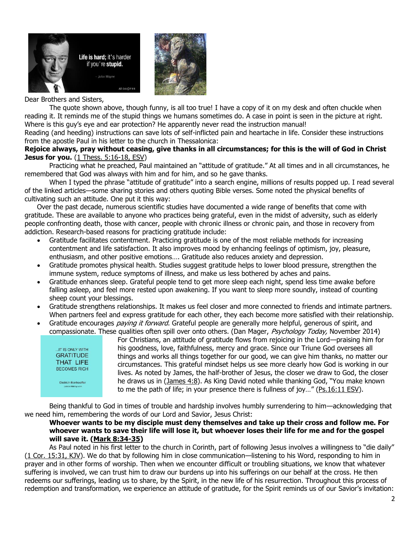



#### Dear Brothers and Sisters,

The quote shown above, though funny, is all too true! I have a copy of it on my desk and often chuckle when reading it. It reminds me of the stupid things we humans sometimes do. A case in point is seen in the picture at right. Where is this guy's eye and ear protection? He apparently never read the instruction manual!

Reading (and heeding) instructions can save lots of self-inflicted pain and heartache in life. Consider these instructions from the apostle Paul in his letter to the church in Thessalonica:

#### **Rejoice always, pray without ceasing, give thanks in all circumstances; for this is the will of God in Christ Jesus for you.** [\(1 Thess. 5:16-18, ESV\)](https://biblia.com/bible/esv/1%20Thess.%205.16-18)

Practicing what he preached, Paul maintained an "attitude of gratitude." At all times and in all circumstances, he remembered that God was always with him and for him, and so he gave thanks.

When I typed the phrase "attitude of gratitude" into a search engine, millions of results popped up. I read several of the linked articles—some sharing stories and others quoting Bible verses. Some noted the physical benefits of cultivating such an attitude. One put it this way:

Over the past decade, numerous scientific studies have documented a wide range of benefits that come with gratitude. These are available to anyone who practices being grateful, even in the midst of adversity, such as elderly people confronting death, those with cancer, people with chronic illness or chronic pain, and those in recovery from addiction. Research-based reasons for practicing gratitude include:

- Gratitude facilitates contentment. Practicing gratitude is one of the most reliable methods for increasing contentment and life satisfaction. It also improves mood by enhancing feelings of optimism, joy, pleasure, enthusiasm, and other positive emotions…. Gratitude also reduces anxiety and depression.
- Gratitude promotes physical health. Studies suggest gratitude helps to lower blood pressure, strengthen the immune system, reduce symptoms of illness, and make us less bothered by aches and pains.
- Gratitude enhances sleep. Grateful people tend to get more sleep each night, spend less time awake before falling asleep, and feel more rested upon awakening. If you want to sleep more soundly, instead of counting sheep count your blessings.
- Gratitude strengthens relationships. It makes us feel closer and more connected to friends and intimate partners. When partners feel and express gratitude for each other, they each become more satisfied with their relationship.
- Gratitude encourages *paying it forward*. Grateful people are generally more helpful, generous of spirit, and compassionate. These qualities often spill over onto others. (Dan Mager, Psychology Today, November 2014)



For Christians, an attitude of gratitude flows from rejoicing in the Lord—praising him for his goodness, love, faithfulness, mercy and grace. Since our Triune God oversees all things and works all things together for our good, we can give him thanks, no matter our circumstances. This grateful mindset helps us see more clearly how God is working in our lives. As noted by James, the half-brother of Jesus, the closer we draw to God, the closer he draws us in [\(James 4:8](https://biblia.com/bible/niv/James%204.8)). As King David noted while thanking God, "You make known to me the path of life; in your presence there is fullness of joy…" ([Ps.16:11 ESV\)](https://biblia.com/bible/esv/Ps.16.11).

Being thankful to God in times of trouble and hardship involves humbly surrendering to him—acknowledging that we need him, remembering the words of our Lord and Savior, Jesus Christ:

#### **Whoever wants to be my disciple must deny themselves and take up their cross and follow me. For whoever wants to save their life will lose it, but whoever loses their life for me and for the gospel will save it. [\(Mark 8:34-35\)](https://biblia.com/bible/niv/Mark%208.34-35)**

As Paul noted in his first letter to the church in Corinth, part of following Jesus involves a willingness to "die daily" [\(1 Cor. 15:31, KJV\)](https://biblia.com/bible/kjv1900/1%20Cor.%2015.31). We do that by following him in close communication—listening to his Word, responding to him in prayer and in other forms of worship. Then when we encounter difficult or troubling situations, we know that whatever suffering is involved, we can trust him to draw our burdens up into his sufferings on our behalf at the cross. He then redeems our sufferings, leading us to share, by the Spirit, in the new life of his resurrection. Throughout this process of redemption and transformation, we experience an attitude of gratitude, for the Spirit reminds us of our Savior's invitation: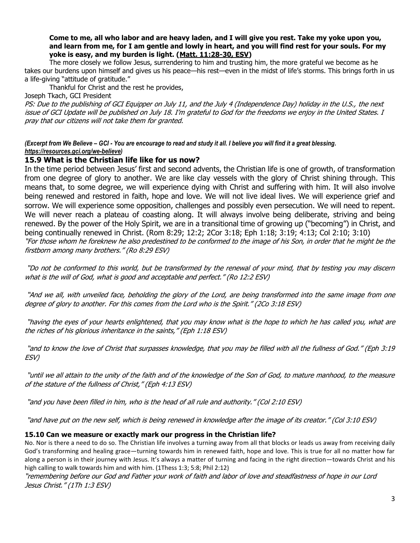#### **Come to me, all who labor and are heavy laden, and I will give you rest. Take my yoke upon you, and learn from me, for I am gentle and lowly in heart, and you will find rest for your souls. For my yoke is easy, and my burden is light. [\(Matt. 11:28-30, ESV\)](https://biblia.com/bible/esv/Matt.%2011.28-30)**

The more closely we follow Jesus, surrendering to him and trusting him, the more grateful we become as he takes our burdens upon himself and gives us his peace—his rest—even in the midst of life's storms. This brings forth in us a life-giving "attitude of gratitude."

Thankful for Christ and the rest he provides,

Joseph Tkach, GCI President

PS: Due to the publishing of GCI Equipper on July 11, and the July 4 (Independence Day) holiday in the U.S., the next issue of GCI Update will be published on July 18. I'm grateful to God for the freedoms we enjoy in the United States. I pray that our citizens will not take them for granted.

*(Excerpt from We Believe – GCI - You are encourage to read and study it all. I believe you will find it a great blessing. [https://resources.gci.org/we-believe\)](https://resources.gci.org/we-believe)*

## **15.9 What is the Christian life like for us now?**

In the time period between Jesus' first and second advents, the Christian life is one of growth, of transformation from one degree of glory to another. We are like clay vessels with the glory of Christ shining through. This means that, to some degree, we will experience dying with Christ and suffering with him. It will also involve being renewed and restored in faith, hope and love. We will not live ideal lives. We will experience grief and sorrow. We will experience some opposition, challenges and possibly even persecution. We will need to repent. We will never reach a plateau of coasting along. It will always involve being deliberate, striving and being renewed. By the power of the Holy Spirit, we are in a transitional time of growing up ("becoming") in Christ, and being continually renewed in Christ. (Rom 8:29; 12:2; 2Cor 3:18; Eph 1:18; 3:19; 4:13; Col 2:10; 3:10) "For those whom he foreknew he also predestined to be conformed to the image of his Son, in order that he might be the firstborn among many brothers." (Ro 8:29 ESV)

"Do not be conformed to this world, but be transformed by the renewal of your mind, that by testing you may discern what is the will of God, what is good and acceptable and perfect." (Ro 12:2 ESV)

"And we all, with unveiled face, beholding the glory of the Lord, are being transformed into the same image from one degree of glory to another. For this comes from the Lord who is the Spirit." (2Co 3:18 ESV)

"having the eyes of your hearts enlightened, that you may know what is the hope to which he has called you, what are the riches of his glorious inheritance in the saints," (Eph 1:18 ESV)

"and to know the love of Christ that surpasses knowledge, that you may be filled with all the fullness of God." (Eph 3:19 ESV)

"until we all attain to the unity of the faith and of the knowledge of the Son of God, to mature manhood, to the measure of the stature of the fullness of Christ," (Eph 4:13 ESV)

"and you have been filled in him, who is the head of all rule and authority." (Col 2:10 ESV)

"and have put on the new self, which is being renewed in knowledge after the image of its creator." (Col 3:10 ESV)

#### **15.10 Can we measure or exactly mark our progress in the Christian life?**

No. Nor is there a need to do so. The Christian life involves a turning away from all that blocks or leads us away from receiving daily God's transforming and healing grace—turning towards him in renewed faith, hope and love. This is true for all no matter how far along a person is in their journey with Jesus. It's always a matter of turning and facing in the right direction—towards Christ and his high calling to walk towards him and with him. (1Thess 1:3; 5:8; Phil 2:12)

"remembering before our God and Father your work of faith and labor of love and steadfastness of hope in our Lord Jesus Christ." (1Th 1:3 ESV)